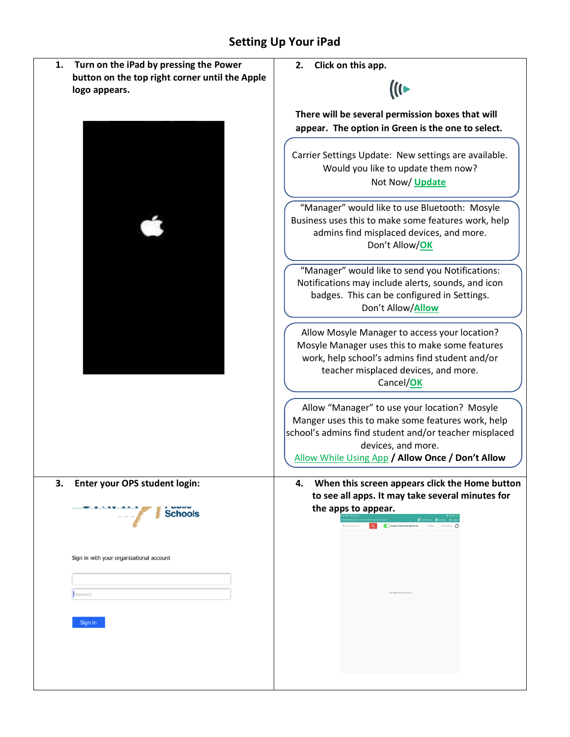## **Setting Up Your iPad**

| 1.<br>Turn on the iPad by pressing the Power   | Click on this app.<br>2.                                                                                                                                                             |  |  |  |
|------------------------------------------------|--------------------------------------------------------------------------------------------------------------------------------------------------------------------------------------|--|--|--|
| button on the top right corner until the Apple |                                                                                                                                                                                      |  |  |  |
| logo appears.                                  | (((←                                                                                                                                                                                 |  |  |  |
|                                                |                                                                                                                                                                                      |  |  |  |
|                                                | There will be several permission boxes that will                                                                                                                                     |  |  |  |
|                                                | appear. The option in Green is the one to select.                                                                                                                                    |  |  |  |
|                                                | Carrier Settings Update: New settings are available.                                                                                                                                 |  |  |  |
|                                                | Would you like to update them now?                                                                                                                                                   |  |  |  |
|                                                | Not Now/ Update                                                                                                                                                                      |  |  |  |
|                                                |                                                                                                                                                                                      |  |  |  |
|                                                | "Manager" would like to use Bluetooth: Mosyle                                                                                                                                        |  |  |  |
|                                                | Business uses this to make some features work, help<br>admins find misplaced devices, and more.<br>Don't Allow/OK                                                                    |  |  |  |
|                                                |                                                                                                                                                                                      |  |  |  |
|                                                |                                                                                                                                                                                      |  |  |  |
|                                                |                                                                                                                                                                                      |  |  |  |
|                                                | "Manager" would like to send you Notifications:                                                                                                                                      |  |  |  |
|                                                | Notifications may include alerts, sounds, and icon                                                                                                                                   |  |  |  |
|                                                | badges. This can be configured in Settings.<br>Don't Allow/Allow                                                                                                                     |  |  |  |
|                                                |                                                                                                                                                                                      |  |  |  |
|                                                | Allow Mosyle Manager to access your location?<br>Mosyle Manager uses this to make some features<br>work, help school's admins find student and/or                                    |  |  |  |
|                                                |                                                                                                                                                                                      |  |  |  |
|                                                |                                                                                                                                                                                      |  |  |  |
|                                                | teacher misplaced devices, and more.                                                                                                                                                 |  |  |  |
|                                                | Cancel/OK                                                                                                                                                                            |  |  |  |
|                                                | Allow "Manager" to use your location? Mosyle                                                                                                                                         |  |  |  |
|                                                | Manger uses this to make some features work, help<br>school's admins find student and/or teacher misplaced<br>devices, and more.<br>Allow While Using App / Allow Once / Don't Allow |  |  |  |
|                                                |                                                                                                                                                                                      |  |  |  |
|                                                |                                                                                                                                                                                      |  |  |  |
|                                                |                                                                                                                                                                                      |  |  |  |
| Enter your OPS student login:<br>3.            | When this screen appears click the Home button<br>4.                                                                                                                                 |  |  |  |
|                                                | to see all apps. It may take several minutes for                                                                                                                                     |  |  |  |
|                                                | the apps to appear.                                                                                                                                                                  |  |  |  |
| <b>Schools</b>                                 | Frepare Classroom App for all in Class My Co.                                                                                                                                        |  |  |  |
|                                                |                                                                                                                                                                                      |  |  |  |
|                                                |                                                                                                                                                                                      |  |  |  |
| Sign in with your organizational account       |                                                                                                                                                                                      |  |  |  |
|                                                |                                                                                                                                                                                      |  |  |  |
| Password                                       | No region                                                                                                                                                                            |  |  |  |
|                                                |                                                                                                                                                                                      |  |  |  |
| Sign in                                        |                                                                                                                                                                                      |  |  |  |
|                                                |                                                                                                                                                                                      |  |  |  |
|                                                |                                                                                                                                                                                      |  |  |  |
|                                                |                                                                                                                                                                                      |  |  |  |
|                                                |                                                                                                                                                                                      |  |  |  |
|                                                |                                                                                                                                                                                      |  |  |  |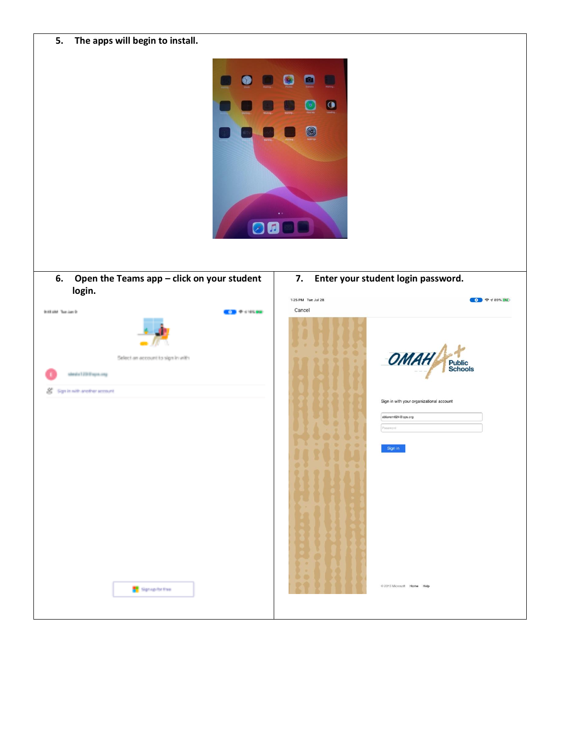| The apps will begin to install.<br>5.<br>P. | $\Omega$<br>O      |                                              |
|---------------------------------------------|--------------------|----------------------------------------------|
| Open the Teams app - click on your student  | 7.                 | Enter your student login password.           |
| 6.                                          | 1:25 PM Tue Jul 28 | $\bullet$ $\bullet$ $\bullet$ 489% $\bullet$ |
| login.                                      | Cancel             | OMA                                          |
| <b>Bill the Textberry</b>                   |                    | <b>Public<br/>Schools</b>                    |
| <b>CONTRACTOR</b>                           | ۰                  | Sign in with your organizational account     |
| Select an account to sign in with           | 30                 | eblancm624@ops.org                           |
| stephal 200 legal ang                       | $\theta$           | Password                                     |
| Sign in with another seconds                | $\mathcal{R}$      | Sign in                                      |
| <b>N</b> Spraphothes                        | $\circ\circ$       | 2013 Microsoft Home Help                     |